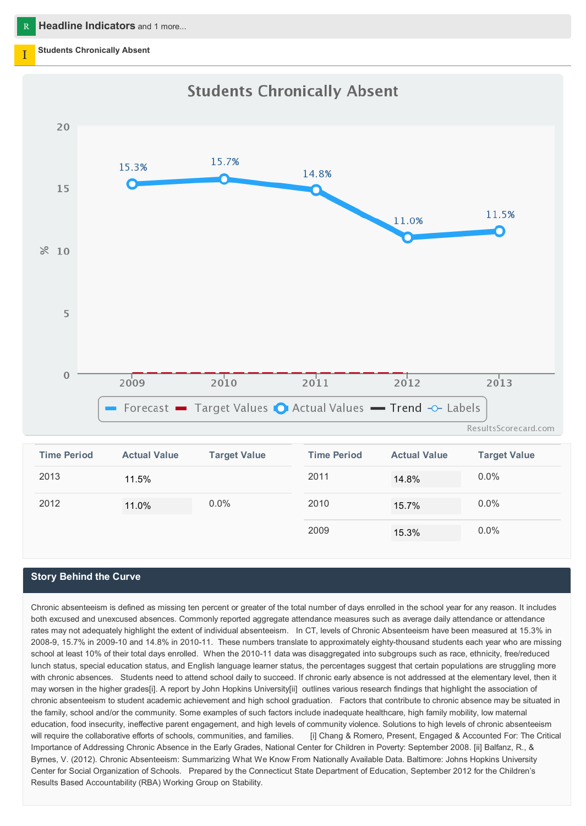#### **Students Chronically Absent**



| <b>Time Period</b> | <b>Actual Value</b> | <b>Target Value</b> | <b>Time Period</b> | <b>Actual Value</b> | <b>Target Value</b> |
|--------------------|---------------------|---------------------|--------------------|---------------------|---------------------|
| 2013               | 11.5%               |                     | 2011               | 14.8%               | $0.0\%$             |
| 2012               | 11.0%               | $0.0\%$             | 2010               | 15.7%               | $0.0\%$             |
|                    |                     |                     | 2009               | 15.3%               | $0.0\%$             |

#### **Story Behind the Curve**

Chronic absenteeism is defined as missing ten percent or greater of the total number of days enrolled in the school year for any reason. It includes both excused and unexcused absences. Commonly reported aggregate attendance measures such as average daily attendance or attendance rates may not adequately highlight the extent of individual absenteeism. In CT, levels of Chronic Absenteeism have been measured at 15.3% in 2008-9, 15.7% in 2009-10 and 14.8% in 2010-11. These numbers translate to approximately eighty-thousand students each year who are missing school at least 10% of their total days enrolled. When the 2010-11 data was disaggregated into subgroups such as race, ethnicity, free/reduced lunch status, special education status, and English language learner status, the percentages suggest that certain populations are struggling more with chronic absences. Students need to attend school daily to succeed. If chronic early absence is not addressed at the elementary level, then it may worsen in the higher grades[i]. A report by John Hopkins University[ii] outlines various research findings that highlight the association of chronic absenteeism to student academic achievement and high school graduation. Factors that contribute to chronic absence may be situated in the family, school and/or the community. Some examples of such factors include inadequate healthcare, high family mobility, low maternal education, food insecurity, ineffective parent engagement, and high levels of community violence. Solutions to high levels of chronic absenteeism will require the collaborative efforts of schools, communities, and families. [i] Chang & Romero, Present, Engaged & Accounted For: The Critical Importance of Addressing Chronic Absence in the Early Grades, National Center for Children in Poverty: September 2008. [ii] Balfanz, R., & Byrnes, V. (2012). Chronic Absenteeism: Summarizing What We Know From Nationally Available Data. Baltimore: Johns Hopkins University Center for Social Organization of Schools. Prepared by the Connecticut State Department of Education, September 2012 for the Children's Results Based Accountability (RBA) Working Group on Stability.